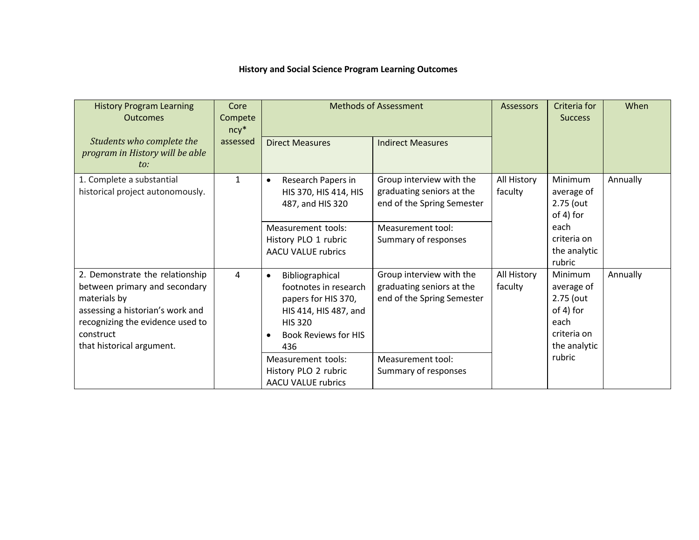| <b>History and Social Science Program Learning Outcomes</b> |  |
|-------------------------------------------------------------|--|
|-------------------------------------------------------------|--|

| <b>History Program Learning</b><br><b>Outcomes</b>                                                                                                                                                 | Core<br>Compete<br>$ncy^*$ | <b>Methods of Assessment</b>                                                                                                                                                                                |                                                                                                                                  | Assessors              | Criteria for<br><b>Success</b>                                                                          | When     |
|----------------------------------------------------------------------------------------------------------------------------------------------------------------------------------------------------|----------------------------|-------------------------------------------------------------------------------------------------------------------------------------------------------------------------------------------------------------|----------------------------------------------------------------------------------------------------------------------------------|------------------------|---------------------------------------------------------------------------------------------------------|----------|
| Students who complete the<br>program in History will be able<br>to:                                                                                                                                | assessed                   | <b>Direct Measures</b>                                                                                                                                                                                      | <b>Indirect Measures</b>                                                                                                         |                        |                                                                                                         |          |
| 1. Complete a substantial<br>historical project autonomously.                                                                                                                                      | $\mathbf{1}$               | Research Papers in<br>$\bullet$<br>HIS 370, HIS 414, HIS<br>487, and HIS 320                                                                                                                                | Group interview with the<br>graduating seniors at the<br>end of the Spring Semester                                              | All History<br>faculty | Minimum<br>average of<br>2.75 (out<br>of 4) for                                                         | Annually |
|                                                                                                                                                                                                    |                            | Measurement tools:<br>History PLO 1 rubric<br><b>AACU VALUE rubrics</b>                                                                                                                                     | Measurement tool:<br>Summary of responses                                                                                        |                        | each<br>criteria on<br>the analytic<br>rubric                                                           |          |
| 2. Demonstrate the relationship<br>between primary and secondary<br>materials by<br>assessing a historian's work and<br>recognizing the evidence used to<br>construct<br>that historical argument. | 4                          | Bibliographical<br>$\bullet$<br>footnotes in research<br>papers for HIS 370,<br>HIS 414, HIS 487, and<br><b>HIS 320</b><br><b>Book Reviews for HIS</b><br>436<br>Measurement tools:<br>History PLO 2 rubric | Group interview with the<br>graduating seniors at the<br>end of the Spring Semester<br>Measurement tool:<br>Summary of responses | All History<br>faculty | <b>Minimum</b><br>average of<br>2.75 (out<br>of 4) for<br>each<br>criteria on<br>the analytic<br>rubric | Annually |